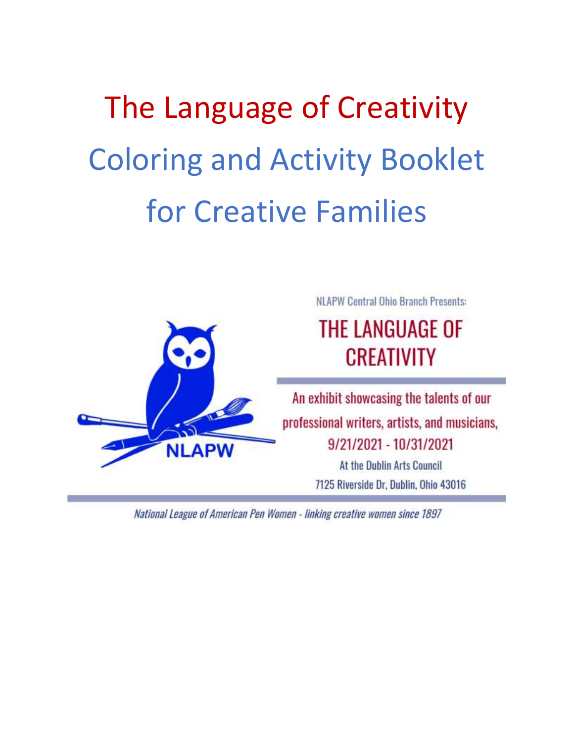# The Language of Creativity Coloring and Activity Booklet for Creative Families



National League of American Pen Women - linking creative women since 1897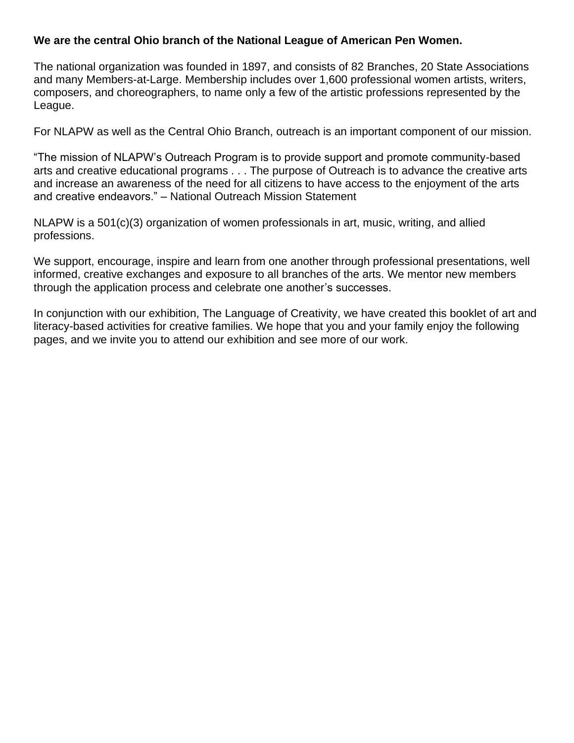### **We are the central Ohio branch of the National League of American Pen Women.**

The national organization was founded in 1897, and consists of 82 Branches, 20 State Associations and many Members-at-Large. Membership includes over 1,600 professional women artists, writers, composers, and choreographers, to name only a few of the artistic professions represented by the League.

For NLAPW as well as the Central Ohio Branch, outreach is an important component of our mission.

"The mission of NLAPW's Outreach Program is to provide support and promote community-based arts and creative educational programs . . . The purpose of Outreach is to advance the creative arts and increase an awareness of the need for all citizens to have access to the enjoyment of the arts and creative endeavors." – National Outreach Mission Statement

NLAPW is a 501(c)(3) organization of women professionals in art, music, writing, and allied professions.

We support, encourage, inspire and learn from one another through professional presentations, well informed, creative exchanges and exposure to all branches of the arts. We mentor new members through the application process and celebrate one another's successes.

In conjunction with our exhibition, The Language of Creativity, we have created this booklet of art and literacy-based activities for creative families. We hope that you and your family enjoy the following pages, and we invite you to attend our exhibition and see more of our work.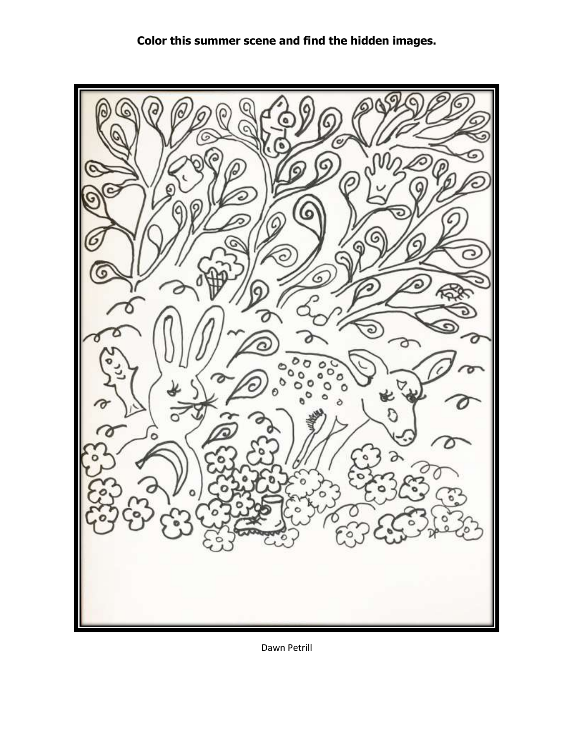### **Color this summer scene and find the hidden images.**



Dawn Petrill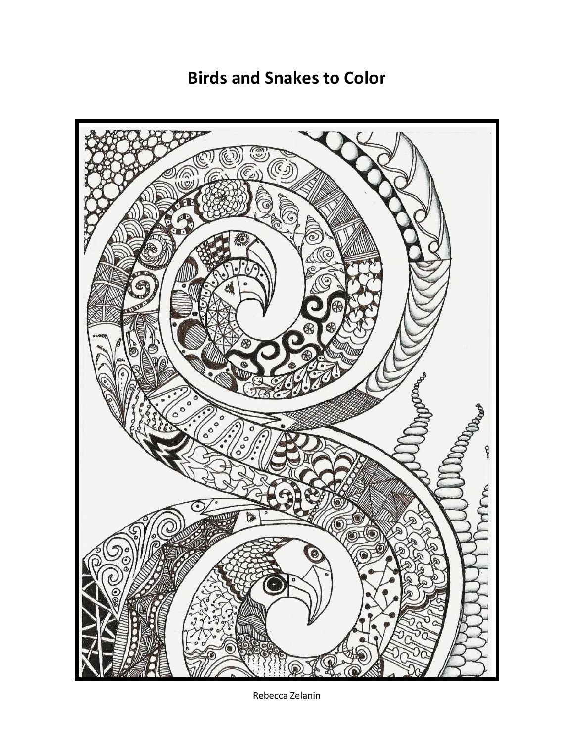**Birds and Snakes to Color**



Rebecca Zelanin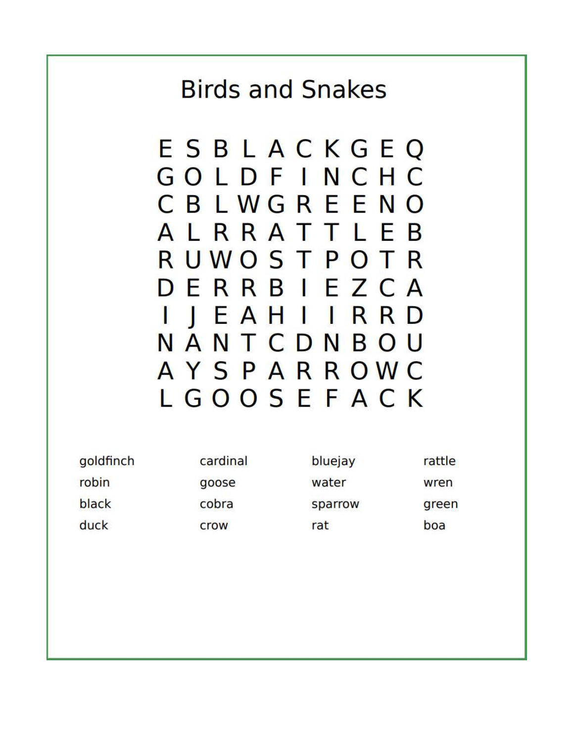## **Birds and Snakes**

| goldfinch | cardinal | bluejay | rattle |
|-----------|----------|---------|--------|
| robin     | goose    | water   | wren   |
| black     | cobra    | sparrow | green  |
| duck      | crow     | rat     | boa    |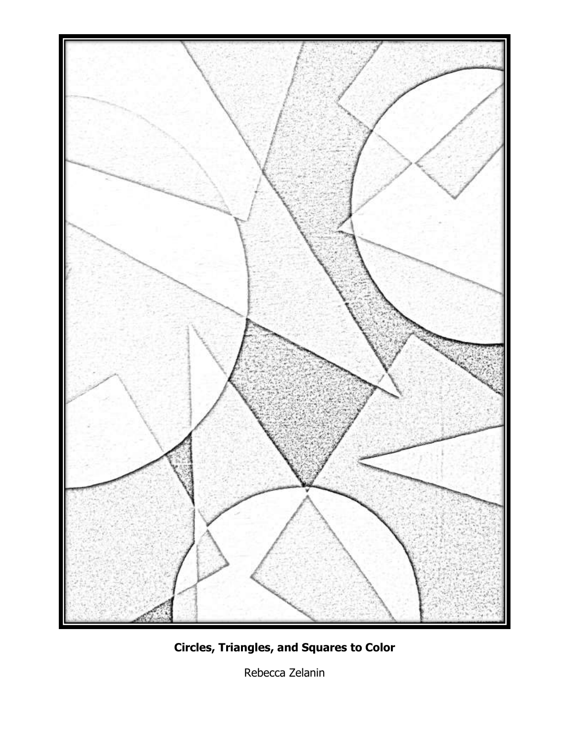

**Circles, Triangles, and Squares to Color**

Rebecca Zelanin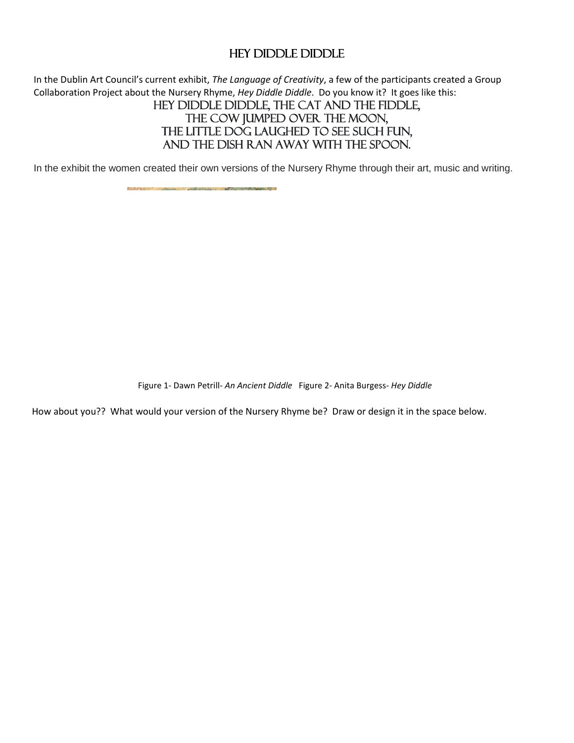### Hey Diddle Diddle

In the Dublin Art Council's current exhibit, *The Language of Creativity*, a few of the participants created a Group Collaboration Project about the Nursery Rhyme, *Hey Diddle Diddle*. Do you know it? It goes like this:

### Hey diddle diddle, the cat and the fiddle, The cow jumped over the moon, THE LITTLE DOG LAUGHED TO SEE SUCH FUN, And the dish ran away with the spoon.

In the exhibit the women created their own versions of the Nursery Rhyme through their art, music and writing.

Figure 1- Dawn Petrill*- An Ancient Diddle* Figure 2- Anita Burgess*- Hey Diddle* 

How about you?? What would your version of the Nursery Rhyme be? Draw or design it in the space below.